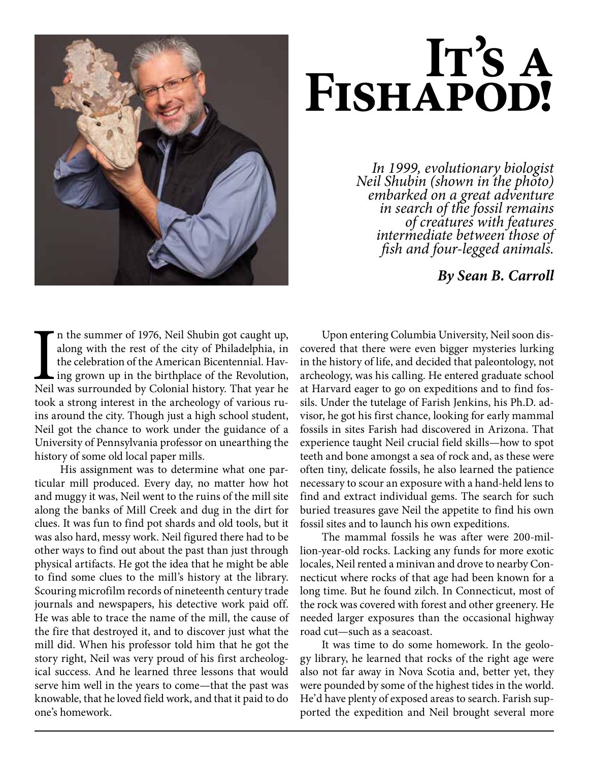

# FISHAPOD!

*In 1999, evolutionary biologist Neil Shubin (shown in the photo) embarked on a great adventure in search of the fossil remains of creatures with features intermediate between those of fish and four-legged animals.*

*By Sean B. Carroll*

In the summer of 1976, Neil Shubin got caught up, along with the rest of the city of Philadelphia, in the celebration of the American Bicentennial. Having grown up in the birthplace of the Revolution, Neil was surrounded b n the summer of 1976, Neil Shubin got caught up, along with the rest of the city of Philadelphia, in the celebration of the American Bicentennial. Having grown up in the birthplace of the Revolution, took a strong interest in the archeology of various ruins around the city. Though just a high school student, Neil got the chance to work under the guidance of a University of Pennsylvania professor on unearthing the history of some old local paper mills.

 His assignment was to determine what one particular mill produced. Every day, no matter how hot and muggy it was, Neil went to the ruins of the mill site along the banks of Mill Creek and dug in the dirt for clues. It was fun to find pot shards and old tools, but it was also hard, messy work. Neil figured there had to be other ways to find out about the past than just through physical artifacts. He got the idea that he might be able to find some clues to the mill's history at the library. Scouring microfilm records of nineteenth century trade journals and newspapers, his detective work paid off. He was able to trace the name of the mill, the cause of the fire that destroyed it, and to discover just what the mill did. When his professor told him that he got the story right, Neil was very proud of his first archeological success. And he learned three lessons that would serve him well in the years to come—that the past was knowable, that he loved field work, and that it paid to do one's homework.

Upon entering Columbia University, Neil soon discovered that there were even bigger mysteries lurking in the history of life, and decided that paleontology, not archeology, was his calling. He entered graduate school at Harvard eager to go on expeditions and to find fossils. Under the tutelage of Farish Jenkins, his Ph.D. advisor, he got his first chance, looking for early mammal fossils in sites Farish had discovered in Arizona. That experience taught Neil crucial field skills—how to spot teeth and bone amongst a sea of rock and, as these were often tiny, delicate fossils, he also learned the patience necessary to scour an exposure with a hand-held lens to find and extract individual gems. The search for such buried treasures gave Neil the appetite to find his own fossil sites and to launch his own expeditions.

The mammal fossils he was after were 200-million-year-old rocks. Lacking any funds for more exotic locales, Neil rented a minivan and drove to nearby Connecticut where rocks of that age had been known for a long time. But he found zilch. In Connecticut, most of the rock was covered with forest and other greenery. He needed larger exposures than the occasional highway road cut—such as a seacoast.

It was time to do some homework. In the geology library, he learned that rocks of the right age were also not far away in Nova Scotia and, better yet, they were pounded by some of the highest tides in the world. He'd have plenty of exposed areas to search. Farish supported the expedition and Neil brought several more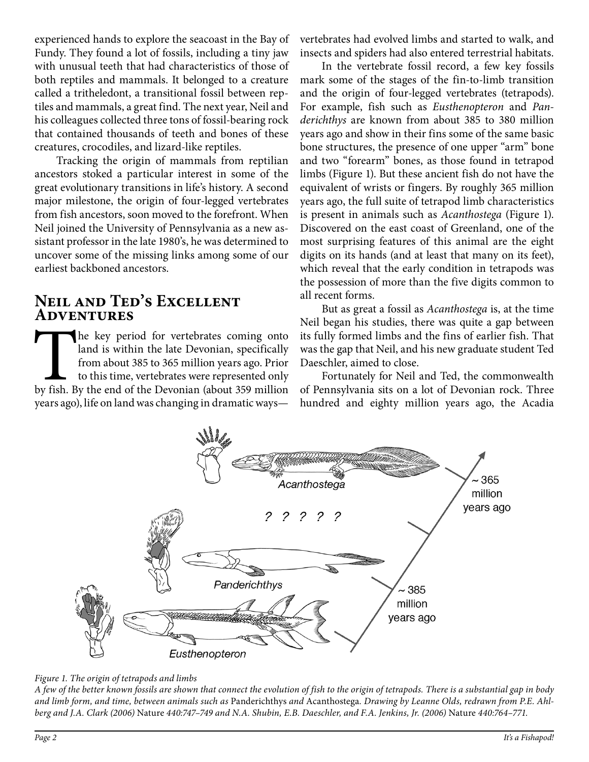experienced hands to explore the seacoast in the Bay of Fundy. They found a lot of fossils, including a tiny jaw with unusual teeth that had characteristics of those of both reptiles and mammals. It belonged to a creature called a tritheledont, a transitional fossil between reptiles and mammals, a great find. The next year, Neil and his colleagues collected three tons of fossil-bearing rock that contained thousands of teeth and bones of these creatures, crocodiles, and lizard-like reptiles.

Tracking the origin of mammals from reptilian ancestors stoked a particular interest in some of the great evolutionary transitions in life's history. A second major milestone, the origin of four-legged vertebrates from fish ancestors, soon moved to the forefront. When Neil joined the University of Pennsylvania as a new assistant professor in the late 1980's, he was determined to uncover some of the missing links among some of our earliest backboned ancestors.

#### **Neil and Ted's Excellent Adventures**

The key period for vertebrates coming onto land is within the late Devonian, specifically from about 385 to 365 million years ago. Prior to this time, vertebrates were represented only by fish. By the end of the Devonian ( land is within the late Devonian, specifically from about 385 to 365 million years ago. Prior to this time, vertebrates were represented only years ago), life on land was changing in dramatic waysvertebrates had evolved limbs and started to walk, and insects and spiders had also entered terrestrial habitats.

In the vertebrate fossil record, a few key fossils mark some of the stages of the fin-to-limb transition and the origin of four-legged vertebrates (tetrapods). For example, fish such as *Eusthenopteron* and *Panderichthys* are known from about 385 to 380 million years ago and show in their fins some of the same basic bone structures, the presence of one upper "arm" bone and two "forearm" bones, as those found in tetrapod limbs (Figure 1). But these ancient fish do not have the equivalent of wrists or fingers. By roughly 365 million years ago, the full suite of tetrapod limb characteristics is present in animals such as *Acanthostega* (Figure 1). Discovered on the east coast of Greenland, one of the most surprising features of this animal are the eight digits on its hands (and at least that many on its feet), which reveal that the early condition in tetrapods was the possession of more than the five digits common to all recent forms.

But as great a fossil as *Acanthostega* is, at the time Neil began his studies, there was quite a gap between its fully formed limbs and the fins of earlier fish. That was the gap that Neil, and his new graduate student Ted Daeschler, aimed to close.

Fortunately for Neil and Ted, the commonwealth of Pennsylvania sits on a lot of Devonian rock. Three hundred and eighty million years ago, the Acadia



#### *Figure 1. The origin of tetrapods and limbs*

*A few of the better known fossils are shown that connect the evolution of fish to the origin of tetrapods. There is a substantial gap in body and limb form, and time, between animals such as* Panderichthys *and* Acanthostega*. Drawing by Leanne Olds, redrawn from P.E. Ahlberg and J.A. Clark (2006)* Nature *440:747–749 and N.A. Shubin, E.B. Daeschler, and F.A. Jenkins, Jr. (2006)* Nature *440:764–771.*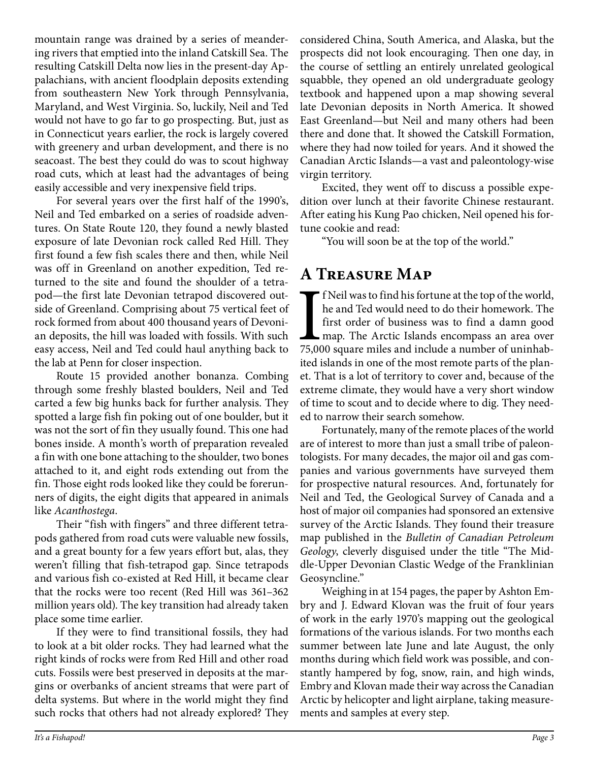mountain range was drained by a series of meandering rivers that emptied into the inland Catskill Sea. The resulting Catskill Delta now lies in the present-day Appalachians, with ancient floodplain deposits extending from southeastern New York through Pennsylvania, Maryland, and West Virginia. So, luckily, Neil and Ted would not have to go far to go prospecting. But, just as in Connecticut years earlier, the rock is largely covered with greenery and urban development, and there is no seacoast. The best they could do was to scout highway road cuts, which at least had the advantages of being easily accessible and very inexpensive field trips.

For several years over the first half of the 1990's, Neil and Ted embarked on a series of roadside adventures. On State Route 120, they found a newly blasted exposure of late Devonian rock called Red Hill. They first found a few fish scales there and then, while Neil was off in Greenland on another expedition, Ted returned to the site and found the shoulder of a tetrapod—the first late Devonian tetrapod discovered outside of Greenland. Comprising about 75 vertical feet of rock formed from about 400 thousand years of Devonian deposits, the hill was loaded with fossils. With such easy access, Neil and Ted could haul anything back to the lab at Penn for closer inspection.

Route 15 provided another bonanza. Combing through some freshly blasted boulders, Neil and Ted carted a few big hunks back for further analysis. They spotted a large fish fin poking out of one boulder, but it was not the sort of fin they usually found. This one had bones inside. A month's worth of preparation revealed a fin with one bone attaching to the shoulder, two bones attached to it, and eight rods extending out from the fin. Those eight rods looked like they could be forerunners of digits, the eight digits that appeared in animals like *Acanthostega*.

Their "fish with fingers" and three different tetrapods gathered from road cuts were valuable new fossils, and a great bounty for a few years effort but, alas, they weren't filling that fish-tetrapod gap. Since tetrapods and various fish co-existed at Red Hill, it became clear that the rocks were too recent (Red Hill was 361–362 million years old). The key transition had already taken place some time earlier.

If they were to find transitional fossils, they had to look at a bit older rocks. They had learned what the right kinds of rocks were from Red Hill and other road cuts. Fossils were best preserved in deposits at the margins or overbanks of ancient streams that were part of delta systems. But where in the world might they find such rocks that others had not already explored? They

considered China, South America, and Alaska, but the prospects did not look encouraging. Then one day, in the course of settling an entirely unrelated geological squabble, they opened an old undergraduate geology textbook and happened upon a map showing several late Devonian deposits in North America. It showed East Greenland—but Neil and many others had been there and done that. It showed the Catskill Formation, where they had now toiled for years. And it showed the Canadian Arctic Islands—a vast and paleontology-wise virgin territory.

Excited, they went off to discuss a possible expedition over lunch at their favorite Chinese restaurant. After eating his Kung Pao chicken, Neil opened his fortune cookie and read:

"You will soon be at the top of the world."

## **A Treasure Map**

I f Neil was to find his fortune at the top of the world, he and Ted would need to do their homework. The first order of business was to find a damn good map. The Arctic Islands encompass an area over 75,000 square miles a f Neil was to find his fortune at the top of the world, he and Ted would need to do their homework. The first order of business was to find a damn good map. The Arctic Islands encompass an area over ited islands in one of the most remote parts of the planet. That is a lot of territory to cover and, because of the extreme climate, they would have a very short window of time to scout and to decide where to dig. They needed to narrow their search somehow.

Fortunately, many of the remote places of the world are of interest to more than just a small tribe of paleontologists. For many decades, the major oil and gas companies and various governments have surveyed them for prospective natural resources. And, fortunately for Neil and Ted, the Geological Survey of Canada and a host of major oil companies had sponsored an extensive survey of the Arctic Islands. They found their treasure map published in the *Bulletin of Canadian Petroleum Geology*, cleverly disguised under the title "The Middle-Upper Devonian Clastic Wedge of the Franklinian Geosyncline."

Weighing in at 154 pages, the paper by Ashton Embry and J. Edward Klovan was the fruit of four years of work in the early 1970's mapping out the geological formations of the various islands. For two months each summer between late June and late August, the only months during which field work was possible, and constantly hampered by fog, snow, rain, and high winds, Embry and Klovan made their way across the Canadian Arctic by helicopter and light airplane, taking measurements and samples at every step.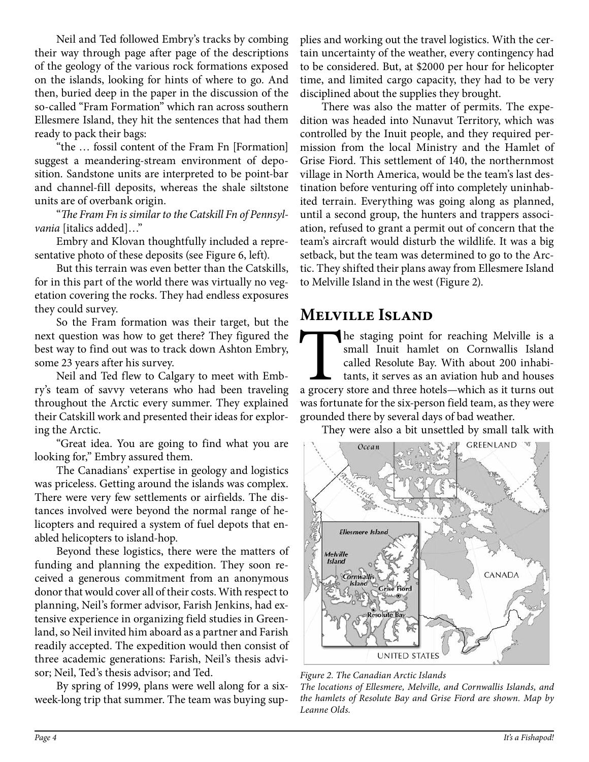Neil and Ted followed Embry's tracks by combing their way through page after page of the descriptions of the geology of the various rock formations exposed on the islands, looking for hints of where to go. And then, buried deep in the paper in the discussion of the so-called "Fram Formation" which ran across southern Ellesmere Island, they hit the sentences that had them ready to pack their bags:

"the … fossil content of the Fram Fn [Formation] suggest a meandering-stream environment of deposition. Sandstone units are interpreted to be point-bar and channel-fill deposits, whereas the shale siltstone units are of overbank origin.

"*The Fram Fn is similar to the Catskill Fn of Pennsylvania* [italics added]…"

Embry and Klovan thoughtfully included a representative photo of these deposits (see Figure 6, left).

But this terrain was even better than the Catskills, for in this part of the world there was virtually no vegetation covering the rocks. They had endless exposures they could survey.

So the Fram formation was their target, but the next question was how to get there? They figured the best way to find out was to track down Ashton Embry, some 23 years after his survey.

Neil and Ted flew to Calgary to meet with Embry's team of savvy veterans who had been traveling throughout the Arctic every summer. They explained their Catskill work and presented their ideas for exploring the Arctic.

"Great idea. You are going to find what you are looking for," Embry assured them.

The Canadians' expertise in geology and logistics was priceless. Getting around the islands was complex. There were very few settlements or airfields. The distances involved were beyond the normal range of helicopters and required a system of fuel depots that enabled helicopters to island-hop.

Beyond these logistics, there were the matters of funding and planning the expedition. They soon received a generous commitment from an anonymous donor that would cover all of their costs. With respect to planning, Neil's former advisor, Farish Jenkins, had extensive experience in organizing field studies in Greenland, so Neil invited him aboard as a partner and Farish readily accepted. The expedition would then consist of three academic generations: Farish, Neil's thesis advisor; Neil, Ted's thesis advisor; and Ted.

By spring of 1999, plans were well along for a sixweek-long trip that summer. The team was buying supplies and working out the travel logistics. With the certain uncertainty of the weather, every contingency had to be considered. But, at \$2000 per hour for helicopter time, and limited cargo capacity, they had to be very disciplined about the supplies they brought.

There was also the matter of permits. The expedition was headed into Nunavut Territory, which was controlled by the Inuit people, and they required permission from the local Ministry and the Hamlet of Grise Fiord. This settlement of 140, the northernmost village in North America, would be the team's last destination before venturing off into completely uninhabited terrain. Everything was going along as planned, until a second group, the hunters and trappers association, refused to grant a permit out of concern that the team's aircraft would disturb the wildlife. It was a big setback, but the team was determined to go to the Arctic. They shifted their plans away from Ellesmere Island to Melville Island in the west (Figure 2).

#### **Melville Island**

The staging point for reaching Melville is a small Inuit hamlet on Cornwallis Island called Resolute Bay. With about 200 inhabitants, it serves as an aviation hub and houses a grocery store and three hotels—which as it tur small Inuit hamlet on Cornwallis Island called Resolute Bay. With about 200 inhabitants, it serves as an aviation hub and houses was fortunate for the six-person field team, as they were grounded there by several days of bad weather.

They were also a bit unsettled by small talk with



*Figure 2. The Canadian Arctic Islands*

*The locations of Ellesmere, Melville, and Cornwallis Islands, and the hamlets of Resolute Bay and Grise Fiord are shown. Map by Leanne Olds.*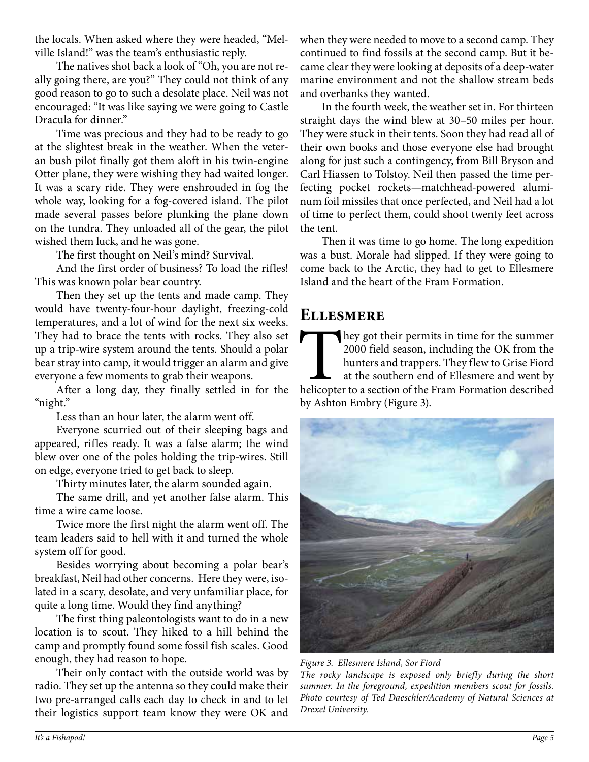the locals. When asked where they were headed, "Melville Island!" was the team's enthusiastic reply.

The natives shot back a look of "Oh, you are not really going there, are you?" They could not think of any good reason to go to such a desolate place. Neil was not encouraged: "It was like saying we were going to Castle Dracula for dinner."

Time was precious and they had to be ready to go at the slightest break in the weather. When the veteran bush pilot finally got them aloft in his twin-engine Otter plane, they were wishing they had waited longer. It was a scary ride. They were enshrouded in fog the whole way, looking for a fog-covered island. The pilot made several passes before plunking the plane down on the tundra. They unloaded all of the gear, the pilot wished them luck, and he was gone.

The first thought on Neil's mind? Survival.

And the first order of business? To load the rifles! This was known polar bear country.

Then they set up the tents and made camp. They would have twenty-four-hour daylight, freezing-cold temperatures, and a lot of wind for the next six weeks. They had to brace the tents with rocks. They also set up a trip-wire system around the tents. Should a polar bear stray into camp, it would trigger an alarm and give everyone a few moments to grab their weapons.

After a long day, they finally settled in for the "night."

Less than an hour later, the alarm went off.

Everyone scurried out of their sleeping bags and appeared, rifles ready. It was a false alarm; the wind blew over one of the poles holding the trip-wires. Still on edge, everyone tried to get back to sleep.

Thirty minutes later, the alarm sounded again.

The same drill, and yet another false alarm. This time a wire came loose.

Twice more the first night the alarm went off. The team leaders said to hell with it and turned the whole system off for good.

Besides worrying about becoming a polar bear's breakfast, Neil had other concerns. Here they were, isolated in a scary, desolate, and very unfamiliar place, for quite a long time. Would they find anything?

The first thing paleontologists want to do in a new location is to scout. They hiked to a hill behind the camp and promptly found some fossil fish scales. Good enough, they had reason to hope.

Their only contact with the outside world was by radio. They set up the antenna so they could make their two pre-arranged calls each day to check in and to let their logistics support team know they were OK and

when they were needed to move to a second camp. They continued to find fossils at the second camp. But it became clear they were looking at deposits of a deep-water marine environment and not the shallow stream beds and overbanks they wanted.

In the fourth week, the weather set in. For thirteen straight days the wind blew at 30–50 miles per hour. They were stuck in their tents. Soon they had read all of their own books and those everyone else had brought along for just such a contingency, from Bill Bryson and Carl Hiassen to Tolstoy. Neil then passed the time perfecting pocket rockets—matchhead-powered aluminum foil missiles that once perfected, and Neil had a lot of time to perfect them, could shoot twenty feet across the tent.

Then it was time to go home. The long expedition was a bust. Morale had slipped. If they were going to come back to the Arctic, they had to get to Ellesmere Island and the heart of the Fram Formation.

#### **Ellesmere**

They got their permits in time for the summer 2000 field season, including the OK from the hunters and trappers. They flew to Grise Fiord at the southern end of Ellesmere and went by helicopter to a section of the Fram For 2000 field season, including the OK from the hunters and trappers. They flew to Grise Fiord at the southern end of Ellesmere and went by by Ashton Embry (Figure 3).



*Photo courtesy of Ted Daeschler/Academy of Natural Sciences at* 

*Figure 3. Ellesmere Island, Sor Fiord The rocky landscape is exposed only briefly during the short summer. In the foreground, expedition members scout for fossils.* 

*Drexel University.*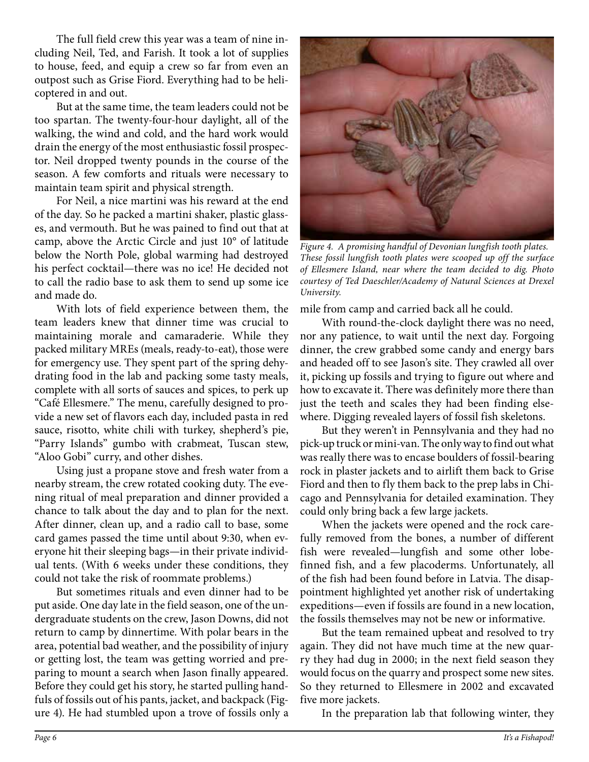The full field crew this year was a team of nine including Neil, Ted, and Farish. It took a lot of supplies to house, feed, and equip a crew so far from even an outpost such as Grise Fiord. Everything had to be helicoptered in and out.

But at the same time, the team leaders could not be too spartan. The twenty-four-hour daylight, all of the walking, the wind and cold, and the hard work would drain the energy of the most enthusiastic fossil prospector. Neil dropped twenty pounds in the course of the season. A few comforts and rituals were necessary to maintain team spirit and physical strength.

For Neil, a nice martini was his reward at the end of the day. So he packed a martini shaker, plastic glasses, and vermouth. But he was pained to find out that at camp, above the Arctic Circle and just 10° of latitude below the North Pole, global warming had destroyed his perfect cocktail—there was no ice! He decided not to call the radio base to ask them to send up some ice and made do.

With lots of field experience between them, the team leaders knew that dinner time was crucial to maintaining morale and camaraderie. While they packed military MREs (meals, ready-to-eat), those were for emergency use. They spent part of the spring dehydrating food in the lab and packing some tasty meals, complete with all sorts of sauces and spices, to perk up "Café Ellesmere." The menu, carefully designed to provide a new set of flavors each day, included pasta in red sauce, risotto, white chili with turkey, shepherd's pie, "Parry Islands" gumbo with crabmeat, Tuscan stew, "Aloo Gobi" curry, and other dishes.

Using just a propane stove and fresh water from a nearby stream, the crew rotated cooking duty. The evening ritual of meal preparation and dinner provided a chance to talk about the day and to plan for the next. After dinner, clean up, and a radio call to base, some card games passed the time until about 9:30, when everyone hit their sleeping bags—in their private individual tents. (With 6 weeks under these conditions, they could not take the risk of roommate problems.)

But sometimes rituals and even dinner had to be put aside. One day late in the field season, one of the undergraduate students on the crew, Jason Downs, did not return to camp by dinnertime. With polar bears in the area, potential bad weather, and the possibility of injury or getting lost, the team was getting worried and preparing to mount a search when Jason finally appeared. Before they could get his story, he started pulling handfuls of fossils out of his pants, jacket, and backpack (Figure 4). He had stumbled upon a trove of fossils only a



*Figure 4. A promising handful of Devonian lungfish tooth plates. These fossil lungfish tooth plates were scooped up off the surface of Ellesmere Island, near where the team decided to dig. Photo courtesy of Ted Daeschler/Academy of Natural Sciences at Drexel University.*

mile from camp and carried back all he could.

With round-the-clock daylight there was no need, nor any patience, to wait until the next day. Forgoing dinner, the crew grabbed some candy and energy bars and headed off to see Jason's site. They crawled all over it, picking up fossils and trying to figure out where and how to excavate it. There was definitely more there than just the teeth and scales they had been finding elsewhere. Digging revealed layers of fossil fish skeletons.

But they weren't in Pennsylvania and they had no pick-up truck or mini-van. The only way to find out what was really there was to encase boulders of fossil-bearing rock in plaster jackets and to airlift them back to Grise Fiord and then to fly them back to the prep labs in Chicago and Pennsylvania for detailed examination. They could only bring back a few large jackets.

When the jackets were opened and the rock carefully removed from the bones, a number of different fish were revealed—lungfish and some other lobefinned fish, and a few placoderms. Unfortunately, all of the fish had been found before in Latvia. The disappointment highlighted yet another risk of undertaking expeditions—even if fossils are found in a new location, the fossils themselves may not be new or informative.

But the team remained upbeat and resolved to try again. They did not have much time at the new quarry they had dug in 2000; in the next field season they would focus on the quarry and prospect some new sites. So they returned to Ellesmere in 2002 and excavated five more jackets.

In the preparation lab that following winter, they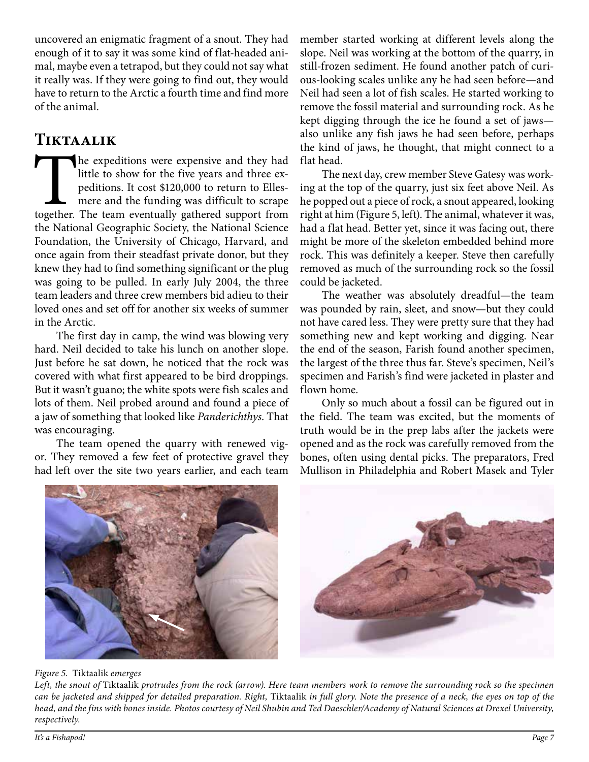uncovered an enigmatic fragment of a snout. They had enough of it to say it was some kind of flat-headed animal, maybe even a tetrapod, but they could not say what it really was. If they were going to find out, they would have to return to the Arctic a fourth time and find more of the animal.

# **Tiktaalik**

The expeditions were expensive and they had little to show for the five years and three expeditions. It cost \$120,000 to return to Ellesmere and the funding was difficult to scrape together. The team eventually gathered su little to show for the five years and three expeditions. It cost \$120,000 to return to Ellesmere and the funding was difficult to scrape the National Geographic Society, the National Science Foundation, the University of Chicago, Harvard, and once again from their steadfast private donor, but they knew they had to find something significant or the plug was going to be pulled. In early July 2004, the three team leaders and three crew members bid adieu to their loved ones and set off for another six weeks of summer in the Arctic.

The first day in camp, the wind was blowing very hard. Neil decided to take his lunch on another slope. Just before he sat down, he noticed that the rock was covered with what first appeared to be bird droppings. But it wasn't guano; the white spots were fish scales and lots of them. Neil probed around and found a piece of a jaw of something that looked like *Panderichthys*. That was encouraging.

The team opened the quarry with renewed vigor. They removed a few feet of protective gravel they had left over the site two years earlier, and each team member started working at different levels along the slope. Neil was working at the bottom of the quarry, in still-frozen sediment. He found another patch of curious-looking scales unlike any he had seen before—and Neil had seen a lot of fish scales. He started working to remove the fossil material and surrounding rock. As he kept digging through the ice he found a set of jaws also unlike any fish jaws he had seen before, perhaps the kind of jaws, he thought, that might connect to a flat head.

The next day, crew member Steve Gatesy was working at the top of the quarry, just six feet above Neil. As he popped out a piece of rock, a snout appeared, looking right at him (Figure 5, left). The animal, whatever it was, had a flat head. Better yet, since it was facing out, there might be more of the skeleton embedded behind more rock. This was definitely a keeper. Steve then carefully removed as much of the surrounding rock so the fossil could be jacketed.

The weather was absolutely dreadful—the team was pounded by rain, sleet, and snow—but they could not have cared less. They were pretty sure that they had something new and kept working and digging. Near the end of the season, Farish found another specimen, the largest of the three thus far. Steve's specimen, Neil's specimen and Farish's find were jacketed in plaster and flown home.

Only so much about a fossil can be figured out in the field. The team was excited, but the moments of truth would be in the prep labs after the jackets were opened and as the rock was carefully removed from the bones, often using dental picks. The preparators, Fred Mullison in Philadelphia and Robert Masek and Tyler



#### *Figure 5.* Tiktaalik *emerges*

*Left, the snout of* Tiktaalik *protrudes from the rock (arrow). Here team members work to remove the surrounding rock so the specimen can be jacketed and shipped for detailed preparation. Right,* Tiktaalik *in full glory. Note the presence of a neck, the eyes on top of the head, and the fins with bones inside. Photos courtesy of Neil Shubin and Ted Daeschler/Academy of Natural Sciences at Drexel University, respectively.*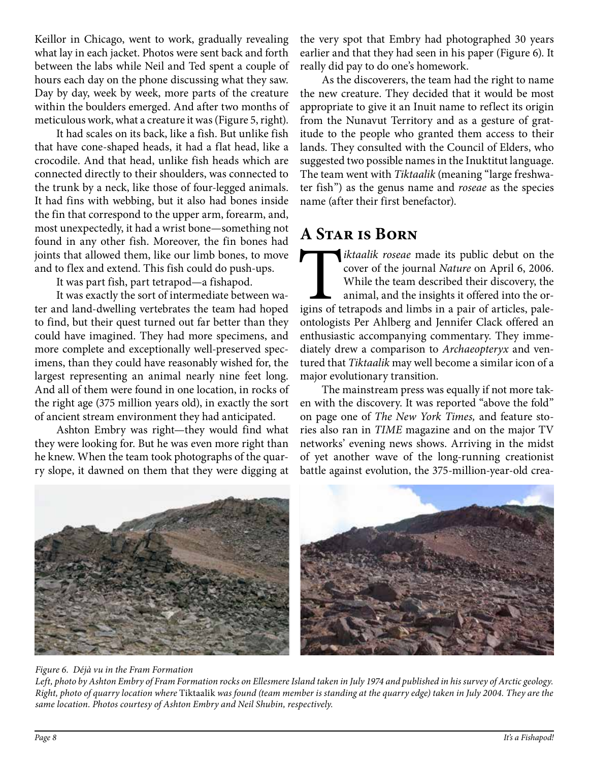Keillor in Chicago, went to work, gradually revealing what lay in each jacket. Photos were sent back and forth between the labs while Neil and Ted spent a couple of hours each day on the phone discussing what they saw. Day by day, week by week, more parts of the creature within the boulders emerged. And after two months of meticulous work, what a creature it was (Figure 5, right).

It had scales on its back, like a fish. But unlike fish that have cone-shaped heads, it had a flat head, like a crocodile. And that head, unlike fish heads which are connected directly to their shoulders, was connected to the trunk by a neck, like those of four-legged animals. It had fins with webbing, but it also had bones inside the fin that correspond to the upper arm, forearm, and, most unexpectedly, it had a wrist bone—something not found in any other fish. Moreover, the fin bones had joints that allowed them, like our limb bones, to move and to flex and extend. This fish could do push-ups.

It was part fish, part tetrapod—a fishapod.

It was exactly the sort of intermediate between water and land-dwelling vertebrates the team had hoped to find, but their quest turned out far better than they could have imagined. They had more specimens, and more complete and exceptionally well-preserved specimens, than they could have reasonably wished for, the largest representing an animal nearly nine feet long. And all of them were found in one location, in rocks of the right age (375 million years old), in exactly the sort of ancient stream environment they had anticipated.

Ashton Embry was right—they would find what they were looking for. But he was even more right than he knew. When the team took photographs of the quarry slope, it dawned on them that they were digging at

the very spot that Embry had photographed 30 years earlier and that they had seen in his paper (Figure 6). It really did pay to do one's homework.

As the discoverers, the team had the right to name the new creature. They decided that it would be most appropriate to give it an Inuit name to reflect its origin from the Nunavut Territory and as a gesture of gratitude to the people who granted them access to their lands. They consulted with the Council of Elders, who suggested two possible names in the Inuktitut language. The team went with *Tiktaalik* (meaning "large freshwater fish") as the genus name and *roseae* as the species name (after their first benefactor).

## **A Star is Born**

T*iktaalik roseae* made its public debut on the cover of the journal *Nature* on April 6, 2006. While the team described their discovery, the animal, and the insights it offered into the origins of tetrapods and limbs in a pair of articles, paleontologists Per Ahlberg and Jennifer Clack offered an enthusiastic accompanying commentary. They immediately drew a comparison to *Archaeopteryx* and ventured that *Tiktaalik* may well become a similar icon of a major evolutionary transition.

The mainstream press was equally if not more taken with the discovery. It was reported "above the fold" on page one of *The New York Times,* and feature stories also ran in *TIME* magazine and on the major TV networks' evening news shows. Arriving in the midst of yet another wave of the long-running creationist battle against evolution, the 375-million-year-old crea-



#### *Figure 6. Déjà vu in the Fram Formation*

*Left, photo by Ashton Embry of Fram Formation rocks on Ellesmere Island taken in July 1974 and published in his survey of Arctic geology. Right, photo of quarry location where* Tiktaalik *was found (team member is standing at the quarry edge) taken in July 2004. They are the same location. Photos courtesy of Ashton Embry and Neil Shubin, respectively.*